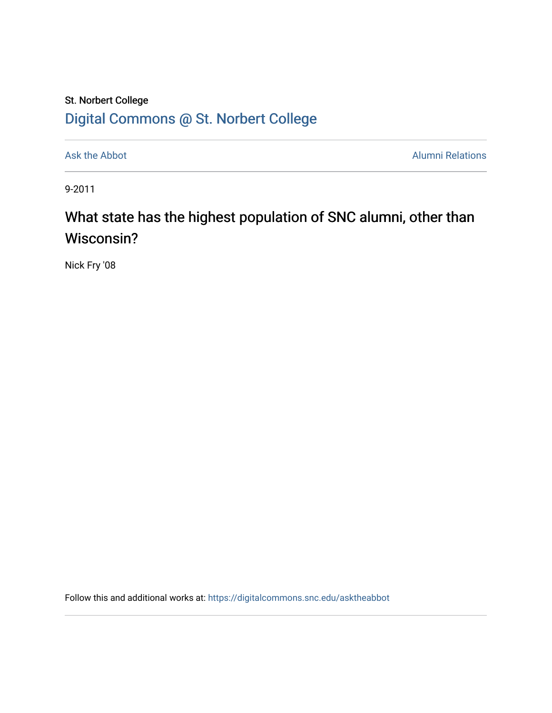## St. Norbert College [Digital Commons @ St. Norbert College](https://digitalcommons.snc.edu/)

[Ask the Abbot](https://digitalcommons.snc.edu/asktheabbot) **Alumni Relations** Alumni Relations

9-2011

## What state has the highest population of SNC alumni, other than Wisconsin?

Nick Fry '08

Follow this and additional works at: [https://digitalcommons.snc.edu/asktheabbot](https://digitalcommons.snc.edu/asktheabbot?utm_source=digitalcommons.snc.edu%2Fasktheabbot%2F64&utm_medium=PDF&utm_campaign=PDFCoverPages)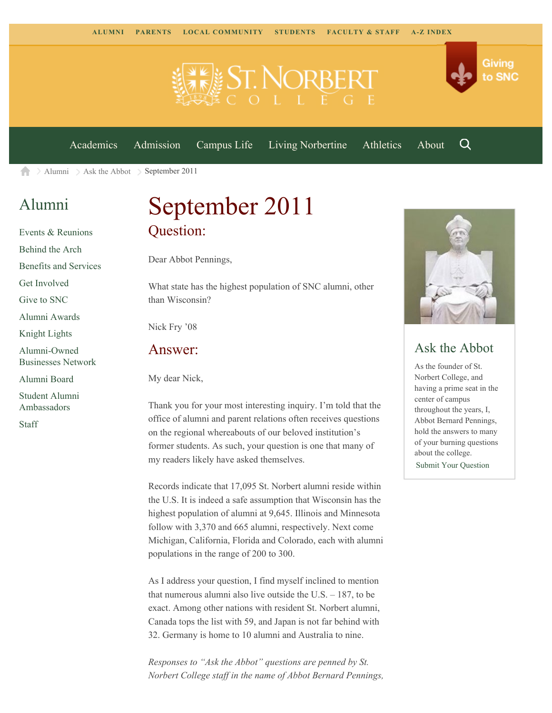

[Academics](https://www.snc.edu/academics) [Admission](https://www.snc.edu/admission) [Campus Life](https://www.snc.edu/campuslife) [Living Norbertine](https://www.snc.edu/livingnorbertine) [Athletics](https://www.snc.edu/athletics) [About](https://www.snc.edu/about)

Q

Giving

to SNC

[Alumni](https://www.snc.edu/alumni/)  $\geq$  [Ask the Abbot](https://www.snc.edu/alumni/abbot/)  $\geq$  September 2011 A

## [Alumni](https://www.snc.edu/alumni/index.html)

[Events & Reunions](https://www.snc.edu/alumni/event/index.html) [Behind the Arch](https://www.snc.edu/alumni/event/behindthearch/) [Benefits and Services](https://www.snc.edu/alumni/benefits.html) [Get Involved](https://www.snc.edu/alumni/getinvolved.html) [Give to SNC](http://giving.snc.edu/) [Alumni Awards](https://www.snc.edu/alumni/awards/index.html) [Knight Lights](https://www.snc.edu/alumni/knightlights/index.html) [Alumni-Owned](https://www.snc.edu/alumni/directory/index.html) [Businesses Network](https://www.snc.edu/alumni/directory/index.html) [Alumni Board](https://www.snc.edu/alumni/alumniboard.html) [Student Alumni](https://www.snc.edu/alumni/saa.html) [Ambassadors](https://www.snc.edu/alumni/saa.html)

[Staff](https://www.snc.edu/alumni/contactus.html)

# September 2011 Question:

Dear Abbot Pennings,

What state has the highest population of SNC alumni, other than Wisconsin?

Nick Fry '08

#### Answer:

My dear Nick,

Thank you for your most interesting inquiry. I'm told that the office of alumni and parent relations often receives questions on the regional whereabouts of our beloved institution's former students. As such, your question is one that many of my readers likely have asked themselves.

Records indicate that 17,095 St. Norbert alumni reside within the U.S. It is indeed a safe assumption that Wisconsin has the highest population of alumni at 9,645. Illinois and Minnesota follow with 3,370 and 665 alumni, respectively. Next come Michigan, California, Florida and Colorado, each with alumni populations in the range of 200 to 300.

As I address your question, I find myself inclined to mention that numerous alumni also live outside the U.S. – 187, to be exact. Among other nations with resident St. Norbert alumni, Canada tops the list with 59, and Japan is not far behind with 32. Germany is home to 10 alumni and Australia to nine.

*Responses to "Ask the Abbot" questions are penned by St. Norbert College staff in the name of Abbot Bernard Pennings,*



### Ask the Abbot

As the founder of St. Norbert College, and having a prime seat in the center of campus throughout the years, I, Abbot Bernard Pennings, hold the answers to many of your burning questions about the college. [Submit Your Question](https://www.snc.edu/alumni/abbot/index.html)